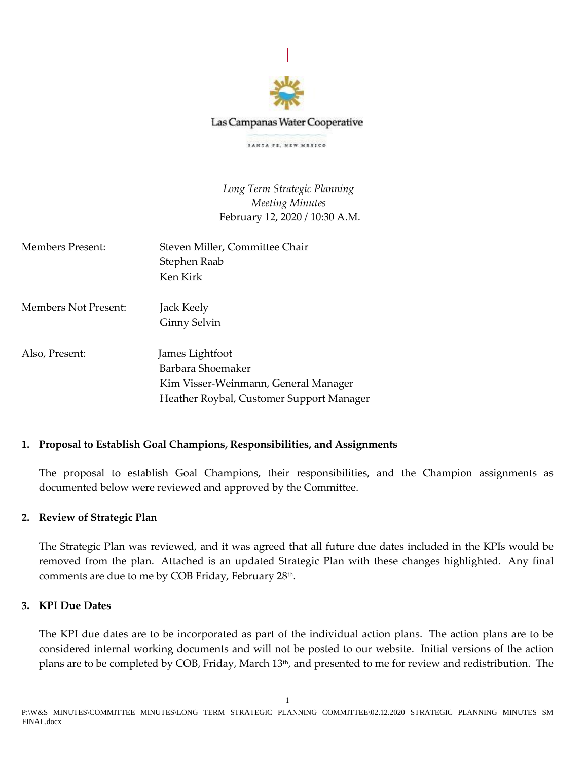

## Las Campanas Water Cooperative

SANTA PE, NEW MEXICO

*Long Term Strategic Planning Meeting Minutes* February 12, 2020 / 10:30 A.M.

| Members Present:     | Steven Miller, Committee Chair<br>Stephen Raab<br>Ken Kirk |
|----------------------|------------------------------------------------------------|
| Members Not Present: | Jack Keely                                                 |
|                      | Ginny Selvin                                               |
| Also, Present:       | James Lightfoot                                            |
|                      | Barbara Shoemaker                                          |
|                      | Kim Visser-Weinmann, General Manager                       |
|                      | Heather Roybal, Customer Support Manager                   |

## **1. Proposal to Establish Goal Champions, Responsibilities, and Assignments**

The proposal to establish Goal Champions, their responsibilities, and the Champion assignments as documented below were reviewed and approved by the Committee.

## **2. Review of Strategic Plan**

The Strategic Plan was reviewed, and it was agreed that all future due dates included in the KPIs would be removed from the plan. Attached is an updated Strategic Plan with these changes highlighted. Any final comments are due to me by COB Friday, February 28th .

## **3. KPI Due Dates**

The KPI due dates are to be incorporated as part of the individual action plans. The action plans are to be considered internal working documents and will not be posted to our website. Initial versions of the action plans are to be completed by COB, Friday, March 13<sup>th</sup>, and presented to me for review and redistribution. The